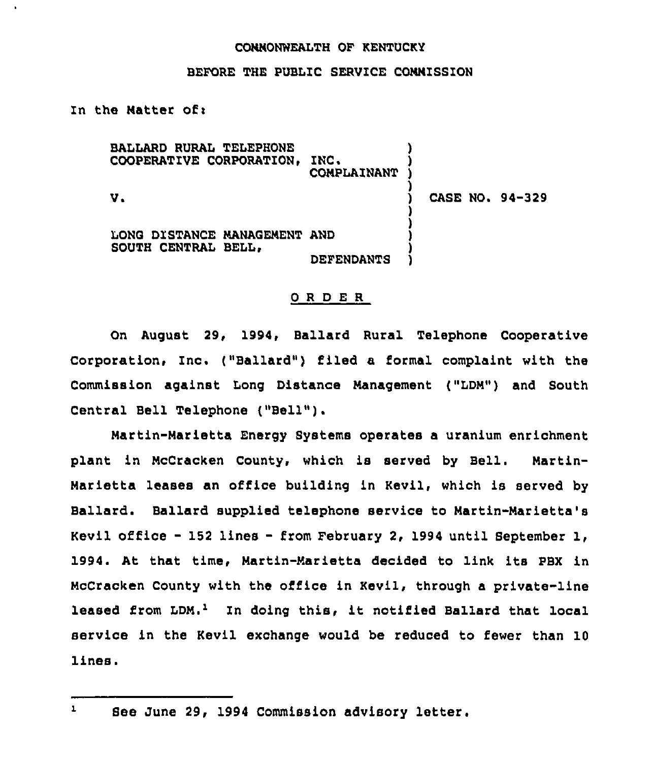## CONNONWEALTH OF KENTUCKY

## BEFORE THE PUBLIC SERVICE CONNISSION

In the Natter of:

BALLARD RURAL TELEPHONE COOPERATIVE CORPORATION, INC. **COMPLAINANT**  $V<sub>s</sub>$ LONG DISTANCE MANAGEMENT AND SOUTH CENTRAL BELL, DEFENDANTS ) ) ) ) ) CASE HO. 94-329 ) ) ) ) )

## ORDER

On August 29, 1994, Ballard Rural Telephone Cooperative Corporation, Inc. ("Ballard") filed a formal complaint with the Commission against Long Distance Nanagement ("LDN") and South Central Bell Telephone ("Bell" ).

Hartin-Narietta Energy Systems operates a uranium enrichment plant in NcCracken County, which is served by Bell. Nartin-Narietta leases an office building in Kevil, which is served by Ballaed. Ballard supplied telephone service to Hartin-Narietta's Kevil office —152 lines —from February 2, 1994 until September 1, 1994. At that time, Hartin-Narietta decided to link its PBX in NcCracken County with the office in Kevil, through a private-line leased from LDM.<sup>1</sup> In doing this, it notified Ballard that local service in the Kevil exchange would be reduced to fewer than 10 lines.

 $\mathbf{L}$ See June 29, 1994 Commission advisory letter.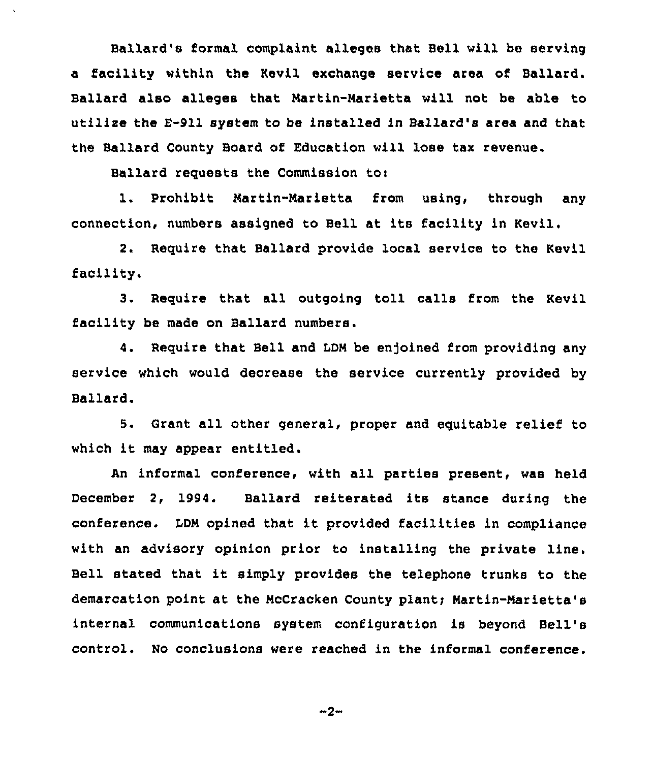Ballard's formal complaint alleges that Bell will be serving a facility within the Kevil exchange service area of Ballard. Ballard also alleges that Martin-Marietta will not be able to utilise the E-911 system to be installed in Ballard's area and that the Ballard County Board of Education will lose tax revenue.

Ballard requests the Commission to:

1. Prohibit Martin-Marietta from using, through any connection, numbers assigned to Bell at its facility in Kevil.

2. Require that Ballard provide local service to the Kevil facility.

3. Require that all outgoing toll calls from the Kevil facility be made on Ballard numbers.

4. Require that Bell and LDM be enjoined from providing any service which would decrease the service currently provided by Ballard.

5. Grant all other general, proper and equitable relief to which it may appear entitled.

An informal conference, with all parties present, was held December 2, 1994. Ballard reiterated its stance during the conference. LDM opined that it provided facilities in compliance with an advisory opinion prior to installing the private line. Bell stated that it simply provides the telephone trunks to the demarcation point at the McCracken County plant; Martin-Marietta's internal communications system configuration is beyond Bell' control. No conclusions were reached in the informal conference.

 $-2-$